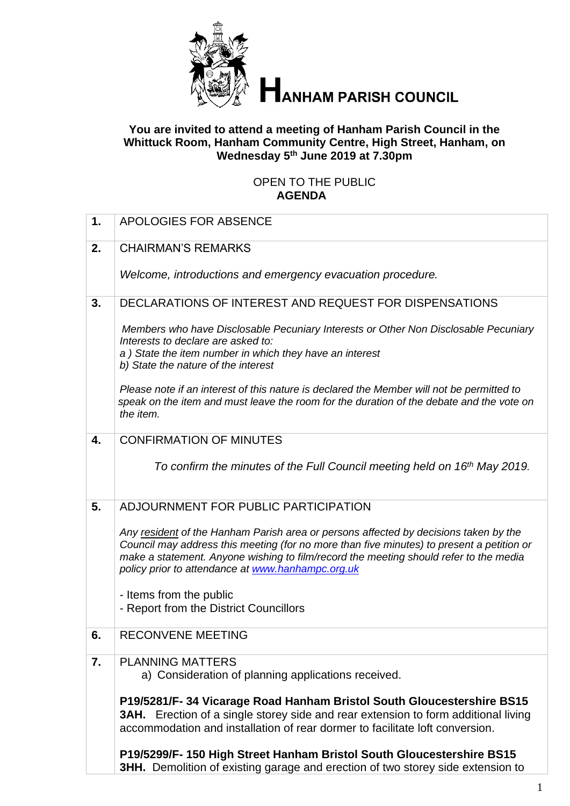

# **ANHAM PARISH COUNCIL**

#### **You are invited to attend a meeting of Hanham Parish Council in the Whittuck Room, Hanham Community Centre, High Street, Hanham, on Wednesday 5 th June 2019 at 7.30pm**

#### OPEN TO THE PUBLIC **AGENDA**

| 1. | APOLOGIES FOR ABSENCE                                                                                                                                                                                                                                                                                                           |
|----|---------------------------------------------------------------------------------------------------------------------------------------------------------------------------------------------------------------------------------------------------------------------------------------------------------------------------------|
| 2. | <b>CHAIRMAN'S REMARKS</b>                                                                                                                                                                                                                                                                                                       |
|    | Welcome, introductions and emergency evacuation procedure.                                                                                                                                                                                                                                                                      |
| 3. | DECLARATIONS OF INTEREST AND REQUEST FOR DISPENSATIONS                                                                                                                                                                                                                                                                          |
|    | Members who have Disclosable Pecuniary Interests or Other Non Disclosable Pecuniary<br>Interests to declare are asked to:<br>a) State the item number in which they have an interest<br>b) State the nature of the interest                                                                                                     |
|    | Please note if an interest of this nature is declared the Member will not be permitted to<br>speak on the item and must leave the room for the duration of the debate and the vote on<br>the item.                                                                                                                              |
| 4. | <b>CONFIRMATION OF MINUTES</b>                                                                                                                                                                                                                                                                                                  |
|    | To confirm the minutes of the Full Council meeting held on 16th May 2019.                                                                                                                                                                                                                                                       |
| 5. | ADJOURNMENT FOR PUBLIC PARTICIPATION                                                                                                                                                                                                                                                                                            |
|    | Any resident of the Hanham Parish area or persons affected by decisions taken by the<br>Council may address this meeting (for no more than five minutes) to present a petition or<br>make a statement. Anyone wishing to film/record the meeting should refer to the media<br>policy prior to attendance at www.hanhampc.org.uk |
|    | - Items from the public                                                                                                                                                                                                                                                                                                         |
|    | - Report from the District Councillors                                                                                                                                                                                                                                                                                          |
| 6. | <b>RECONVENE MEETING</b>                                                                                                                                                                                                                                                                                                        |
| 7. | <b>PLANNING MATTERS</b><br>a) Consideration of planning applications received.                                                                                                                                                                                                                                                  |
|    | P19/5281/F-34 Vicarage Road Hanham Bristol South Gloucestershire BS15<br><b>3AH.</b> Erection of a single storey side and rear extension to form additional living<br>accommodation and installation of rear dormer to facilitate loft conversion.                                                                              |
|    | P19/5299/F-150 High Street Hanham Bristol South Gloucestershire BS15<br><b>3HH.</b> Demolition of existing garage and erection of two storey side extension to                                                                                                                                                                  |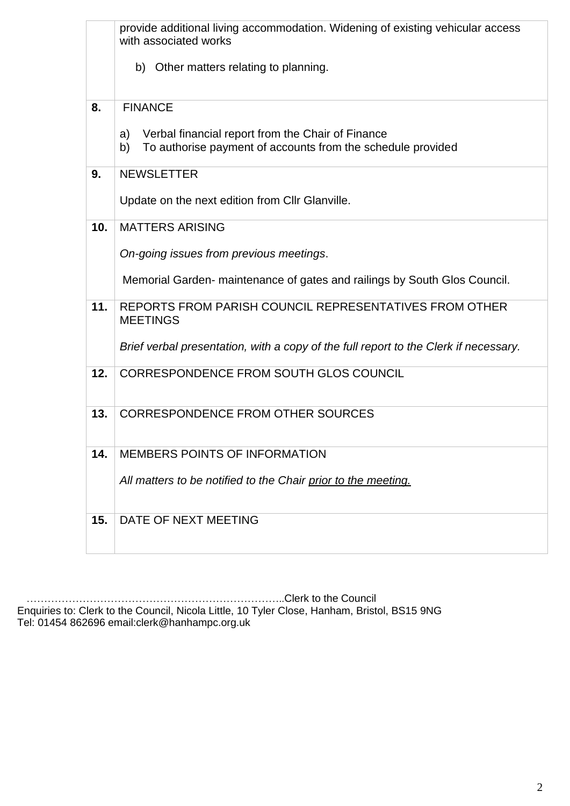|     | provide additional living accommodation. Widening of existing vehicular access<br>with associated works                      |
|-----|------------------------------------------------------------------------------------------------------------------------------|
|     | b) Other matters relating to planning.                                                                                       |
| 8.  | <b>FINANCE</b>                                                                                                               |
|     | Verbal financial report from the Chair of Finance<br>a)<br>To authorise payment of accounts from the schedule provided<br>b) |
| 9.  | <b>NEWSLETTER</b>                                                                                                            |
|     | Update on the next edition from CIIr Glanville.                                                                              |
| 10. | <b>MATTERS ARISING</b>                                                                                                       |
|     | On-going issues from previous meetings.                                                                                      |
|     | Memorial Garden- maintenance of gates and railings by South Glos Council.                                                    |
| 11. | REPORTS FROM PARISH COUNCIL REPRESENTATIVES FROM OTHER<br><b>MEETINGS</b>                                                    |
|     | Brief verbal presentation, with a copy of the full report to the Clerk if necessary.                                         |
| 12. | CORRESPONDENCE FROM SOUTH GLOS COUNCIL                                                                                       |
| 13. | <b>CORRESPONDENCE FROM OTHER SOURCES</b>                                                                                     |
| 14. | <b>MEMBERS POINTS OF INFORMATION</b>                                                                                         |
|     | All matters to be notified to the Chair prior to the meeting.                                                                |
| 15. | DATE OF NEXT MEETING                                                                                                         |

 ………………………………………………………………..Clerk to the Council Enquiries to: Clerk to the Council, Nicola Little, 10 Tyler Close, Hanham, Bristol, BS15 9NG Tel: 01454 862696 email:clerk@hanhampc.org.uk